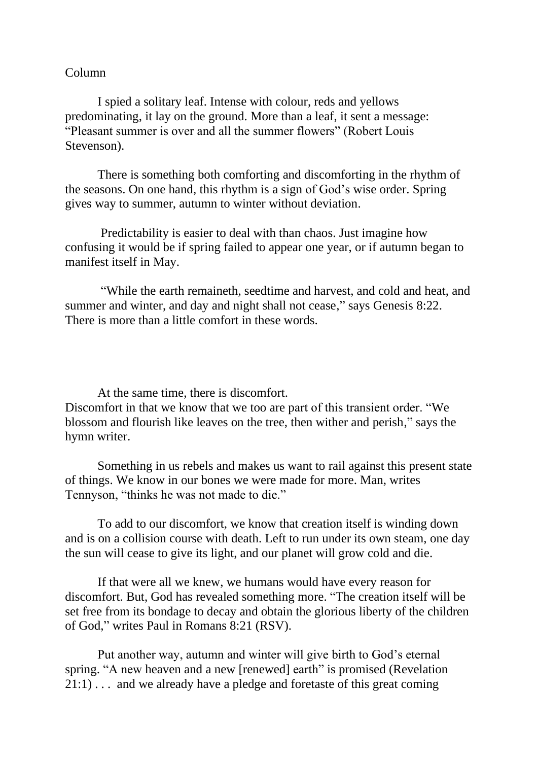## Column

I spied a solitary leaf. Intense with colour, reds and yellows predominating, it lay on the ground. More than a leaf, it sent a message: "Pleasant summer is over and all the summer flowers" (Robert Louis Stevenson).

There is something both comforting and discomforting in the rhythm of the seasons. On one hand, this rhythm is a sign of God's wise order. Spring gives way to summer, autumn to winter without deviation.

Predictability is easier to deal with than chaos. Just imagine how confusing it would be if spring failed to appear one year, or if autumn began to manifest itself in May.

"While the earth remaineth, seedtime and harvest, and cold and heat, and summer and winter, and day and night shall not cease," says Genesis 8:22. There is more than a little comfort in these words.

At the same time, there is discomfort.

Discomfort in that we know that we too are part of this transient order. "We blossom and flourish like leaves on the tree, then wither and perish," says the hymn writer.

Something in us rebels and makes us want to rail against this present state of things. We know in our bones we were made for more. Man, writes Tennyson, "thinks he was not made to die."

To add to our discomfort, we know that creation itself is winding down and is on a collision course with death. Left to run under its own steam, one day the sun will cease to give its light, and our planet will grow cold and die.

If that were all we knew, we humans would have every reason for discomfort. But, God has revealed something more. "The creation itself will be set free from its bondage to decay and obtain the glorious liberty of the children of God," writes Paul in Romans 8:21 (RSV).

Put another way, autumn and winter will give birth to God's eternal spring. "A new heaven and a new [renewed] earth" is promised (Revelation 21:1) . . . and we already have a pledge and foretaste of this great coming